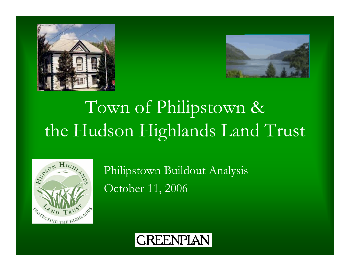



# Town of Philipstown & the Hudson Highlands Land Trust



Philipstown Buildout Analysis October 11, 2006

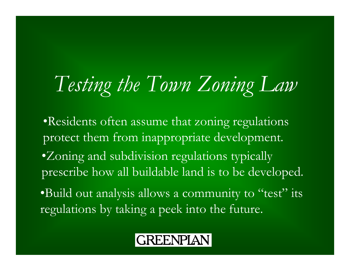# *Testing the Town Zoning Law*

•Residents often assume that zoning regulations protect them from inappropriate development. •Zoning and subdivision regulations typically prescribe how all buildable land is to be developed. •Build out analysis allows a community to "test" its regulations by taking a peek into the future.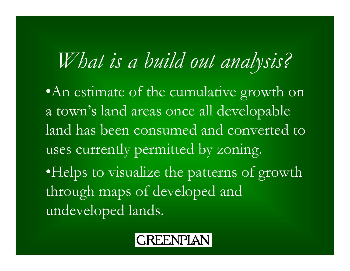# *What is a build out analysis?*

•An estimate of the cumulative growth on a town's land areas once all developable land has been consumed and converted to uses currently permitted by zoning. •Helps to visualize the patterns of growth through maps of developed and undeveloped lands.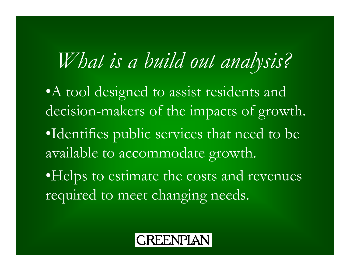# *What is a build out analysis?*

• A tool designed to assist residents and decision-makers of the impacts of growth. •Identifies public services that need to be available to accommodate growth. •Helps to estimate the costs and revenues

required to meet changing needs.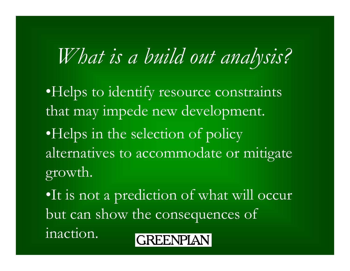# *What is a build out analysis?*

•Helps to identify resource constraints that may impede new development. •Helps in the selection of policy alternatives to accommodate or mitigate growth.

•It is not a prediction of what will occur but can show the consequences of inaction.

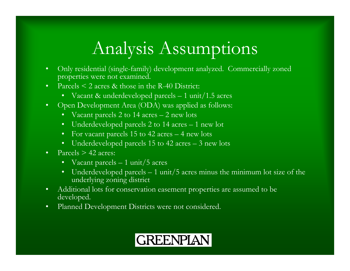### Analysis Assumptions

- $\bullet$  Only residential (single-family) development analyzed. Commercially zoned properties were not examined.
- $\bullet$ Parcels  $\leq 2$  acres & those in the R-40 District:
	- Vacant & underdeveloped parcels 1 unit/1.5 acres
- $\bullet$  Open Development Area (ODA) was applied as follows:
	- Vacant parcels 2 to 14 acres 2 new lots
	- Underdeveloped parcels 2 to 14 acres 1 new lot
	- For vacant parcels 15 to 42 acres 4 new lots
	- Underdeveloped parcels 15 to 42 acres 3 new lots
- •Parcels  $> 42$  acres:
	- $\bullet$ Vacant parcels – 1 unit/5 acres
	- $\bullet$  . Underdeveloped parcels  $-1$  unit/5 acres minus the minimum lot size of the underlying zoning district
- $\bullet$  Additional lots for conservation easement properties are assumed to be developed.
- $\bullet$ Planned Development Districts were not considered.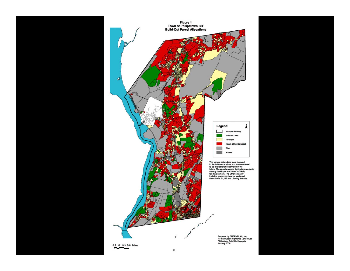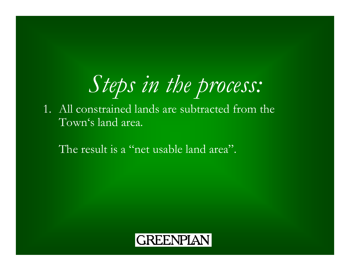# *Steps in the process:*

1. All constrained lands are subtracted from the Town's land area.

The result is a "net usable land area".

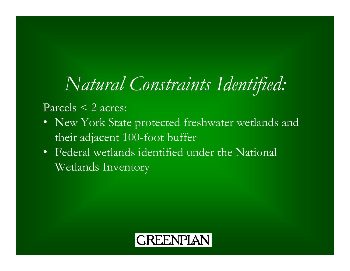# *Natural Constraints Identified:*

#### Parcels  $\leq$  2 acres:

- New York State protected freshwater wetlands and their adjacent 100-foot buffer
- Federal wetlands identified under the National Wetlands Inventory

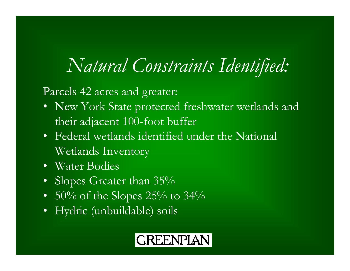## *Natural Constraints Identified:*

Parcels 42 acres and greater:

- New York State protected freshwater wetlands and their adjacent 100-foot buffer
- Federal wetlands identified under the National Wetlands Inventory
- Water Bodies
- Slopes Greater than 35%  $^{\circ}$
- $50\%$  of the Slopes 25% to 34%
- Hydric (unbuildable) soils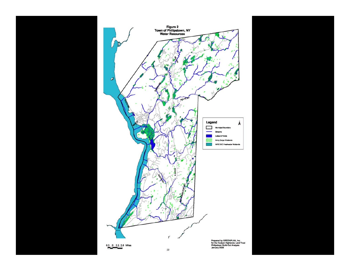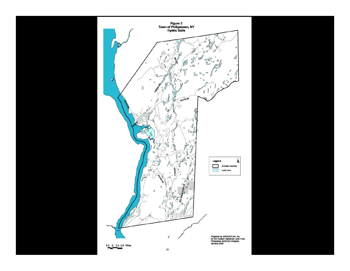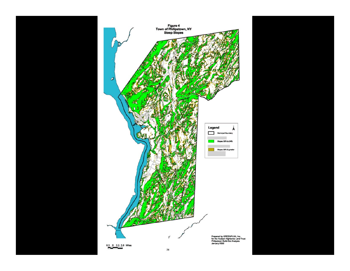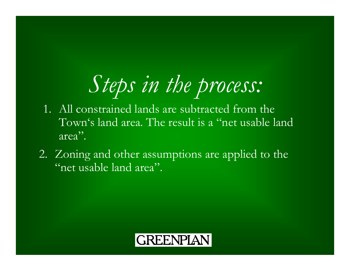# *Steps in the process:*

- 1. All constrained lands are subtracted from the Town's land area. The result is a "net usable land area".
- 2. Zoning and other assumptions are applied to the "net usable land area".

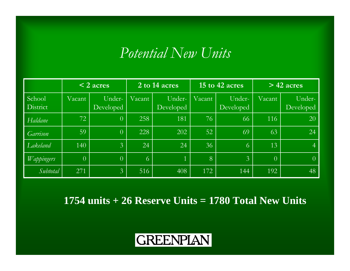### *Potential New Units*

|                    | $\leq$ 2 acres |                     | 2 to 14 acres |                     | 15 to 42 acres |                     | $>$ 42 acres   |                     |
|--------------------|----------------|---------------------|---------------|---------------------|----------------|---------------------|----------------|---------------------|
| School<br>District | Vacant         | Under-<br>Developed | Vacant        | Under-<br>Developed | Vacant         | Under-<br>Developed | Vacant         | Under-<br>Developed |
| Haldane            | 72             | $\overline{0}$      | 258           | 181                 | 76             | 66                  | 116            | 20                  |
| Garrison           | 59             | $\overline{0}$      | 228           | 202                 | 52             | 69                  | 63             | $\sqrt{24}$         |
| Lakeland           | 140            | $\overline{3}$      | 24            | 24                  | 36             | 6                   | 13             | $\overline{4}$      |
| <i>Wappingers</i>  | $\overline{0}$ | $\overline{0}$      | $\sqrt{6}$    |                     | 8              | $\overline{3}$      | $\overline{0}$ | $\overline{0}$      |
| Subtotal           | 271            | $\mathfrak{Z}$      | 516           | 408                 | 172            | 144                 | 192            | 48                  |

**1754 units + 26 Reserve Units = 1780 Total New Units**

### **GREENPIAN**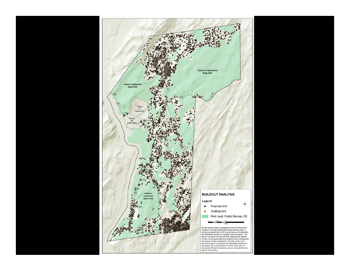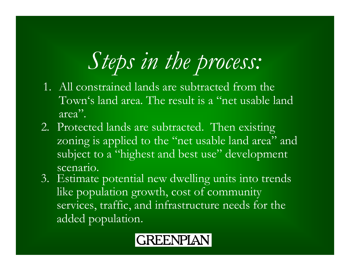# *Steps in the process:*

- 1. All constrained lands are subtracted from the Town's land area. The result is a "net usable land area".
- 2. Protected lands are subtracted. Then existing zoning is applied to the "net usable land area" and subject to a "highest and best use" development scenario.
- 3. Estimate potential new dwelling units into trends like population growth, cost of community services, traffic, and infrastructure needs for the added population.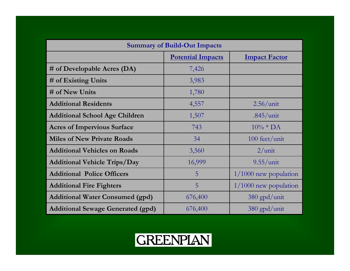| <b>Summary of Build-Out Impacts</b>      |                          |                         |  |  |
|------------------------------------------|--------------------------|-------------------------|--|--|
|                                          | <b>Potential Impacts</b> | <b>Impact Factor</b>    |  |  |
| # of Developable Acres (DA)              | 7,426                    |                         |  |  |
| # of Existing Units                      | 3,983                    |                         |  |  |
| # of New Units                           | 1,780                    |                         |  |  |
| <b>Additional Residents</b>              | 4,557                    | $2.56/$ unit            |  |  |
| <b>Additional School Age Children</b>    | 1,507                    | $.845/$ unit            |  |  |
| <b>Acres of Impervious Surface</b>       | 743                      | $10\% * DA$             |  |  |
| <b>Miles of New Private Roads</b>        | 34                       | 100 feet/unit           |  |  |
| <b>Additional Vehicles on Roads</b>      | 3,560                    | $2/$ unit               |  |  |
| <b>Additional Vehicle Trips/Day</b>      | 16,999                   | $9.55/$ unit            |  |  |
| <b>Additional Police Officers</b>        | 5                        | $1/1000$ new population |  |  |
| <b>Additional Fire Fighters</b>          | 5                        | $1/1000$ new population |  |  |
| <b>Additional Water Consumed (gpd)</b>   | 676,400                  | $380$ gpd/unit          |  |  |
| <b>Additional Sewage Generated (gpd)</b> | 676,400                  | $380$ gpd/unit          |  |  |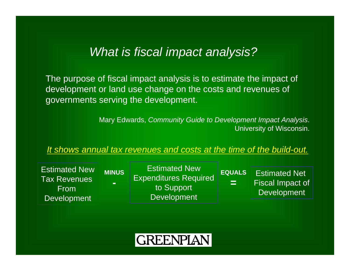#### *What is fiscal impact analysis?*

The purpose of fiscal impact analysis is to estimate the impact of development or land use change on the costs and revenues of governments serving the development.

> Mary Edwards, *Community Guide to Development Impact Analysis*. University of Wisconsin.

*It shows annual tax revenues and costs at the time of the build-out.*

| <b>Estimated New</b><br><b>MINUS</b><br>Tax Revenues<br>$\mathbf{r}$<br><b>From</b><br><b>Development</b> | <b>Estimated New</b><br><b>Expenditures Required</b><br>to Support<br><b>Development</b> | <b>EQUALS</b><br>E. | <b>Estimated Net</b><br><b>Fiscal Impact of</b><br><b>Development</b> |
|-----------------------------------------------------------------------------------------------------------|------------------------------------------------------------------------------------------|---------------------|-----------------------------------------------------------------------|
|-----------------------------------------------------------------------------------------------------------|------------------------------------------------------------------------------------------|---------------------|-----------------------------------------------------------------------|

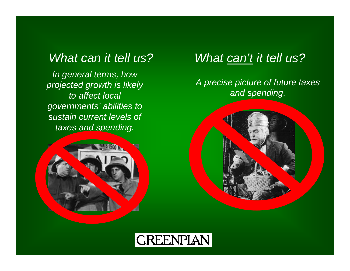*In general terms, how projected growth is likely to affect local governments' abilities to sustain current levels of taxes and spending.*



#### *What can it tell us? What can't it tell us?*

#### *A precise picture of future taxes and spending.*



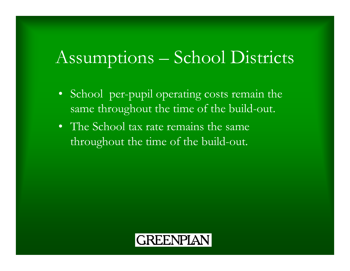### Assumptions – School Districts

- • School per-pupil operating costs remain the same throughout the time of the build-out.
- The School tax rate remains the same throughout the time of the build-out.

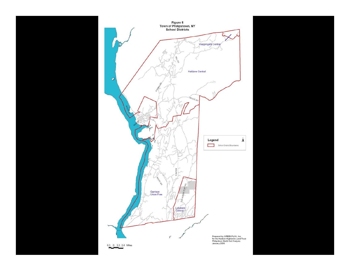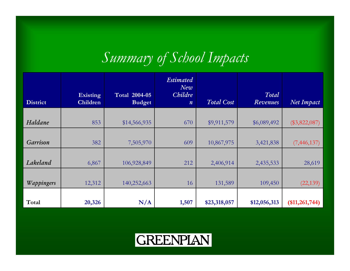### *Summary of School Impacts*

| <b>District</b> | <b>Existing</b><br>Children | <b>Total 2004-05</b><br><b>Budget</b> | <b>Estimated</b><br>$N$ e $v$<br><b>Childre</b><br>$\boldsymbol{n}$ | <b>Total Cost</b> | Total<br>Revenues | Net Impact      |
|-----------------|-----------------------------|---------------------------------------|---------------------------------------------------------------------|-------------------|-------------------|-----------------|
|                 |                             |                                       |                                                                     |                   |                   |                 |
| Haldane         | 853                         | \$14,566,935                          | 670                                                                 | \$9,911,579       | \$6,089,492       | $(\$3,822,087)$ |
|                 |                             |                                       |                                                                     |                   |                   |                 |
| <b>Garrison</b> | 382                         | 7,505,970                             | 609                                                                 | 10,867,975        | 3,421,838         | (7, 446, 137)   |
|                 |                             |                                       |                                                                     |                   |                   |                 |
| Lakeland        | 6,867                       | 106,928,849                           | 212                                                                 | 2,406,914         | 2,435,533         | 28,619          |
|                 |                             |                                       |                                                                     |                   |                   |                 |
| Wappingers      | 12,312                      | 140,252,663                           | 16                                                                  | 131,589           | 109,450           | (22, 139)       |
|                 |                             |                                       |                                                                     |                   |                   |                 |
| Total           | 20,326                      | N/A                                   | 1,507                                                               | \$23,318,057      | \$12,056,313      | (\$11,261,744)  |